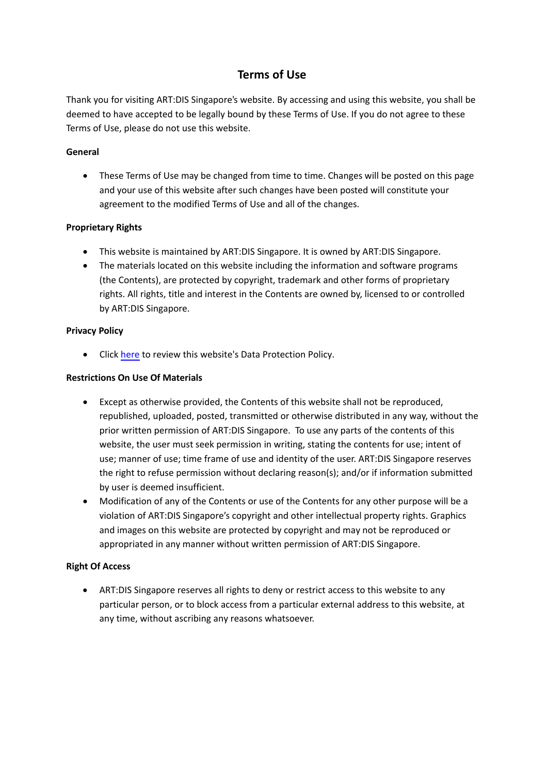# **Terms of Use**

Thank you for visiting ART:DIS Singapore's website. By accessing and using this website, you shall be deemed to have accepted to be legally bound by these Terms of Use. If you do not agree to these Terms of Use, please do not use this website.

## **General**

• These Terms of Use may be changed from time to time. Changes will be posted on this page and your use of this website after such changes have been posted will constitute your agreement to the modified Terms of Use and all of the changes.

## **Proprietary Rights**

- This website is maintained by ART:DIS Singapore. It is owned by ART:DIS Singapore.
- The materials located on this website including the information and software programs (the Contents), are protected by copyright, trademark and other forms of proprietary rights. All rights, title and interest in the Contents are owned by, licensed to or controlled by ART:DIS Singapore.

#### **Privacy Policy**

• Click h[ere](http://artdis.org.sg/wp-content/uploads/2021/12/ARTDIS_DataProtectionPolicy.pdf) to review this website's Data Protection Policy.

## **Restrictions On Use Of Materials**

- Except as otherwise provided, the Contents of this website shall not be reproduced, republished, uploaded, posted, transmitted or otherwise distributed in any way, without the prior written permission of ART:DIS Singapore. To use any parts of the contents of this website, the user must seek permission in writing, stating the contents for use; intent of use; manner of use; time frame of use and identity of the user. ART:DIS Singapore reserves the right to refuse permission without declaring reason(s); and/or if information submitted by user is deemed insufficient.
- Modification of any of the Contents or use of the Contents for any other purpose will be a violation of ART:DIS Singapore's copyright and other intellectual property rights. Graphics and images on this website are protected by copyright and may not be reproduced or appropriated in any manner without written permission of ART:DIS Singapore.

## **Right Of Access**

 ART:DIS Singapore reserves all rights to deny or restrict access to this website to any particular person, or to block access from a particular external address to this website, at any time, without ascribing any reasons whatsoever.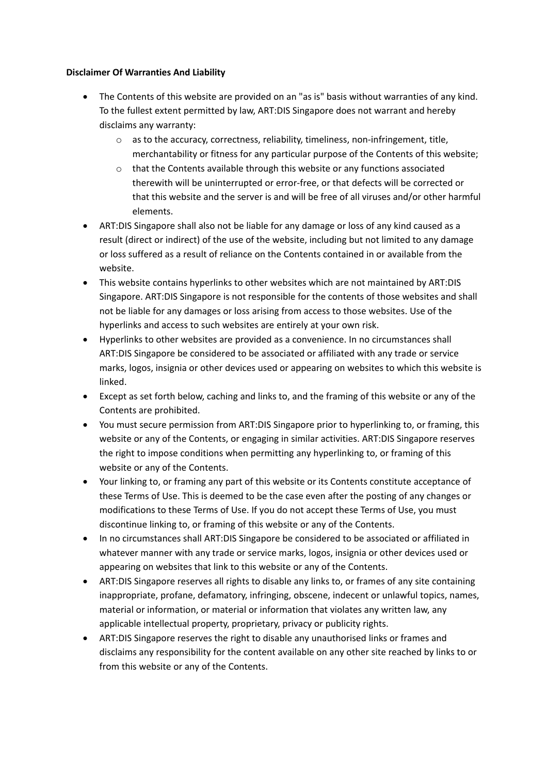#### **Disclaimer Of Warranties And Liability**

- The Contents of this website are provided on an "as is" basis without warranties of any kind. To the fullest extent permitted by law, ART:DIS Singapore does not warrant and hereby disclaims any warranty:
	- o as to the accuracy, correctness, reliability, timeliness, non-infringement, title, merchantability or fitness for any particular purpose of the Contents of this website;
	- o that the Contents available through this website or any functions associated therewith will be uninterrupted or error-free, or that defects will be corrected or that this website and the server is and will be free of all viruses and/or other harmful elements.
- ART:DIS Singapore shall also not be liable for any damage or loss of any kind caused as a result (direct or indirect) of the use of the website, including but not limited to any damage or loss suffered as a result of reliance on the Contents contained in or available from the website.
- This website contains hyperlinks to other websites which are not maintained by ART:DIS Singapore. ART:DIS Singapore is not responsible for the contents of those websites and shall not be liable for any damages or loss arising from access to those websites. Use of the hyperlinks and access to such websites are entirely at your own risk.
- Hyperlinks to other websites are provided as a convenience. In no circumstances shall ART:DIS Singapore be considered to be associated or affiliated with any trade or service marks, logos, insignia or other devices used or appearing on websites to which this website is linked.
- Except as set forth below, caching and links to, and the framing of this website or any of the Contents are prohibited.
- You must secure permission from ART:DIS Singapore prior to hyperlinking to, or framing, this website or any of the Contents, or engaging in similar activities. ART:DIS Singapore reserves the right to impose conditions when permitting any hyperlinking to, or framing of this website or any of the Contents.
- Your linking to, or framing any part of this website or its Contents constitute acceptance of these Terms of Use. This is deemed to be the case even after the posting of any changes or modifications to these Terms of Use. If you do not accept these Terms of Use, you must discontinue linking to, or framing of this website or any of the Contents.
- In no circumstances shall ART:DIS Singapore be considered to be associated or affiliated in whatever manner with any trade or service marks, logos, insignia or other devices used or appearing on websites that link to this website or any of the Contents.
- ART:DIS Singapore reserves all rights to disable any links to, or frames of any site containing inappropriate, profane, defamatory, infringing, obscene, indecent or unlawful topics, names, material or information, or material or information that violates any written law, any applicable intellectual property, proprietary, privacy or publicity rights.
- ART:DIS Singapore reserves the right to disable any unauthorised links or frames and disclaims any responsibility for the content available on any other site reached by links to or from this website or any of the Contents.